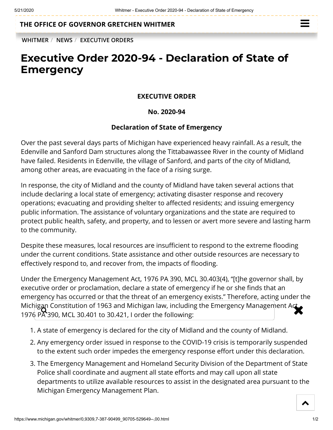## **THE OFFICE OF [GOVERNOR GRETCHEN WHITMER](https://www.michigan.gov/whitmer/)**

 $\equiv$ 

**[WHITMER](https://www.michigan.gov/whitmer/)** / **[NEWS](https://www.michigan.gov/whitmer/0,9309,7-387-90499---,00.html)** / **[EXECUTIVE ORDERS](https://www.michigan.gov/whitmer/0,9309,7-387-90499_90705---,00.html)**

# **Executive Order 2020-94 - Declaration of State of Emergency**

### **EXECUTIVE ORDER**

#### **No. 2020-94**

#### **Declaration of State of Emergency**

Over the past several days parts of Michigan have experienced heavy rainfall. As a result, the Edenville and Sanford Dam structures along the Tittabawassee River in the county of Midland have failed. Residents in Edenville, the village of Sanford, and parts of the city of Midland, among other areas, are evacuating in the face of a rising surge.

In response, the city of Midland and the county of Midland have taken several actions that include declaring a local state of emergency; activating disaster response and recovery operations; evacuating and providing shelter to affected residents; and issuing emergency public information. The assistance of voluntary organizations and the state are required to protect public health, safety, and property, and to lessen or avert more severe and lasting harm to the community.

Despite these measures, local resources are insufficient to respond to the extreme flooding under the current conditions. State assistance and other outside resources are necessary to effectively respond to, and recover from, the impacts of flooding.

Under the Emergency Management Act, 1976 PA 390, MCL 30.403(4), "[t]he governor shall, by executive order or proclamation, declare a state of emergency if he or she finds that an emergency has occurred or that the threat of an emergency exists." Therefore, acting under the Michigan Constitution of 1963 and Michigan law, including the Emergency Management Act, and the States of the<br>1976 PA 390, MCL 30.401 to 30.421. Lorder the following: 1976 PA 390, MCL 30.401 to 30.421, I order the following:

- 1. A state of emergency is declared for the city of Midland and the county of Midland.
- 2. Any emergency order issued in response to the COVID-19 crisis is temporarily suspended to the extent such order impedes the emergency response effort under this declaration.
- 3. The Emergency Management and Homeland Security Division of the Department of State Police shall coordinate and augment all state efforts and may call upon all state departments to utilize available resources to assist in the designated area pursuant to the Michigan Emergency Management Plan.